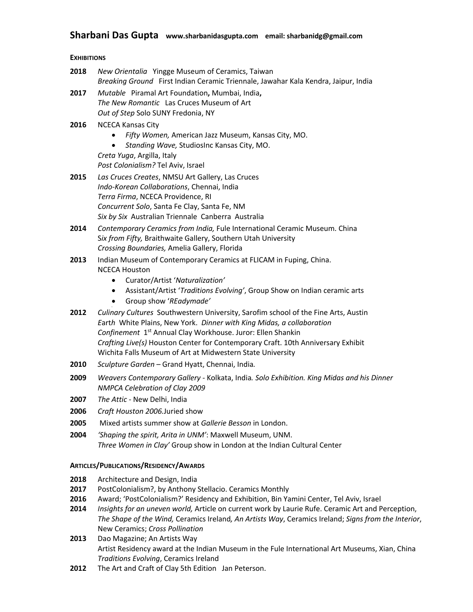# **Sharbani Das Gupta www.sharbanidasgupta.com email: sharbanidg@gmail.com**

## **EXHIBITIONS**

| 2018                                          | New Orientalia Yingge Museum of Ceramics, Taiwan<br>Breaking Ground First Indian Ceramic Triennale, Jawahar Kala Kendra, Jaipur, India                                                                                                                                                                                                                                                                                               |
|-----------------------------------------------|--------------------------------------------------------------------------------------------------------------------------------------------------------------------------------------------------------------------------------------------------------------------------------------------------------------------------------------------------------------------------------------------------------------------------------------|
| 2017                                          | Mutable Piramal Art Foundation, Mumbai, India,<br>The New Romantic Las Cruces Museum of Art<br>Out of Step Solo SUNY Fredonia, NY                                                                                                                                                                                                                                                                                                    |
| 2016                                          | <b>NCECA Kansas City</b><br>Fifty Women, American Jazz Museum, Kansas City, MO.<br>$\bullet$                                                                                                                                                                                                                                                                                                                                         |
|                                               | Standing Wave, StudiosInc Kansas City, MO.<br>$\bullet$<br>Creta Yuga, Argilla, Italy<br>Post Colonialism? Tel Aviv, Israel                                                                                                                                                                                                                                                                                                          |
| 2015                                          | Las Cruces Creates, NMSU Art Gallery, Las Cruces<br>Indo-Korean Collaborations, Chennai, India<br>Terra Firma, NCECA Providence, RI<br>Concurrent Solo, Santa Fe Clay, Santa Fe, NM<br>Six by Six Australian Triennale Canberra Australia                                                                                                                                                                                            |
| 2014                                          | Contemporary Ceramics from India, Fule International Ceramic Museum. China<br>Six from Fifty, Braithwaite Gallery, Southern Utah University<br>Crossing Boundaries, Amelia Gallery, Florida                                                                                                                                                                                                                                          |
| 2013                                          | Indian Museum of Contemporary Ceramics at FLICAM in Fuping, China.<br><b>NCECA Houston</b>                                                                                                                                                                                                                                                                                                                                           |
|                                               | Curator/Artist 'Naturalization'<br>$\bullet$<br>Assistant/Artist 'Traditions Evolving', Group Show on Indian ceramic arts<br>$\bullet$<br>Group show 'REadymade'                                                                                                                                                                                                                                                                     |
| 2012                                          | Culinary Cultures Southwestern University, Sarofim school of the Fine Arts, Austin<br>Earth White Plains, New York. Dinner with King Midas, a collaboration<br>Confinement 1 <sup>st</sup> Annual Clay Workhouse. Juror: Ellen Shankin<br>Crafting Live(s) Houston Center for Contemporary Craft. 10th Anniversary Exhibit<br>Wichita Falls Museum of Art at Midwestern State University                                             |
| 2010                                          | Sculpture Garden - Grand Hyatt, Chennai, India.                                                                                                                                                                                                                                                                                                                                                                                      |
| 2009                                          | Weavers Contemporary Gallery - Kolkata, India. Solo Exhibition. King Midas and his Dinner<br><b>NMPCA Celebration of Clay 2009</b>                                                                                                                                                                                                                                                                                                   |
| 2007                                          | The Attic - New Delhi, India                                                                                                                                                                                                                                                                                                                                                                                                         |
| 2006                                          | Craft Houston 2006. Juried show                                                                                                                                                                                                                                                                                                                                                                                                      |
| 2005                                          | Mixed artists summer show at Gallerie Besson in London.                                                                                                                                                                                                                                                                                                                                                                              |
| 2004                                          | 'Shaping the spirit, Arita in UNM': Maxwell Museum, UNM.<br>Three Women in Clay' Group show in London at the Indian Cultural Center                                                                                                                                                                                                                                                                                                  |
| <b>ARTICLES/PUBLICATIONS/RESIDENCY/AWARDS</b> |                                                                                                                                                                                                                                                                                                                                                                                                                                      |
| 2018<br>2017<br>2016<br>2014                  | Architecture and Design, India<br>PostColonialism?, by Anthony Stellacio. Ceramics Monthly<br>Award; 'PostColonialism?' Residency and Exhibition, Bin Yamini Center, Tel Aviv, Israel<br>Insights for an uneven world, Article on current work by Laurie Rufe. Ceramic Art and Perception,<br>The Shape of the Wind, Ceramics Ireland, An Artists Way, Ceramics Ireland; Signs from the Interior,<br>New Ceramics; Cross Pollination |
| 2013                                          | Dao Magazine; An Artists Way<br>Artist Residency award at the Indian Museum in the Fule International Art Museums, Xian, China<br>Traditions Evolving, Ceramics Ireland                                                                                                                                                                                                                                                              |
| 2012                                          | The Art and Craft of Clay 5th Edition Jan Peterson.                                                                                                                                                                                                                                                                                                                                                                                  |